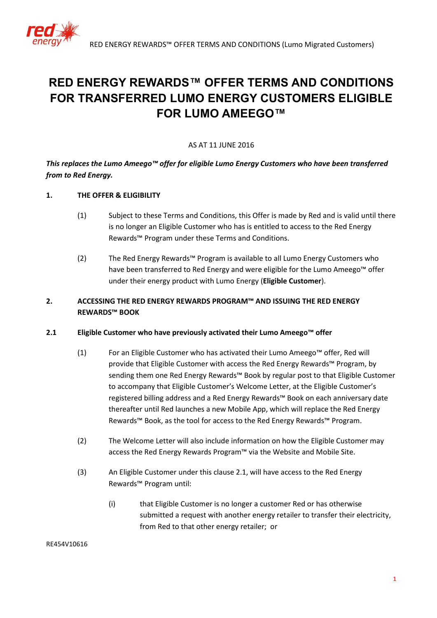

# **RED ENERGY REWARDS™ OFFER TERMS AND CONDITIONS FOR TRANSFERRED LUMO ENERGY CUSTOMERS ELIGIBLE FOR LUMO AMEEGO™**

#### AS AT 11 JUNE 2016

# *This replaces the Lumo Ameego™ offer for eligible Lumo Energy Customers who have been transferred from to Red Energy.*

## **1. THE OFFER & ELIGIBILITY**

- (1) Subject to these Terms and Conditions, this Offer is made by Red and is valid until there is no longer an Eligible Customer who has is entitled to access to the Red Energy Rewards™ Program under these Terms and Conditions.
- <span id="page-0-0"></span>(2) The Red Energy Rewards™ Program is available to all Lumo Energy Customers who have been transferred to Red Energy and were eligible for the Lumo Ameego™ offer under their energy product with Lumo Energy (**Eligible Customer**).

## **2. ACCESSING THE RED ENERGY REWARDS PROGRAM™ AND ISSUING THE RED ENERGY REWARDS™ BOOK**

#### **2.1 Eligible Customer who have previously activated their Lumo Ameego™ offer**

- (1) For an Eligible Customer who has activated their Lumo Ameego™ offer, Red will provide that Eligible Customer with access the Red Energy Rewards™ Program, by sending them one Red Energy Rewards™ Book by regular post to that Eligible Customer to accompany that Eligible Customer's Welcome Letter, at the Eligible Customer's registered billing address and a Red Energy Rewards™ Book on each anniversary date thereafter until Red launches a new Mobile App, which will replace the Red Energy Rewards™ Book, as the tool for access to the Red Energy Rewards™ Program.
- (2) The Welcome Letter will also include information on how the Eligible Customer may access the Red Energy Rewards Program™ via the Website and Mobile Site.
- (3) An Eligible Customer under this clause 2.1, will have access to the Red Energy Rewards™ Program until:
	- (i) that Eligible Customer is no longer a customer Red or has otherwise submitted a request with another energy retailer to transfer their electricity, from Red to that other energy retailer; or

#### RE454V10616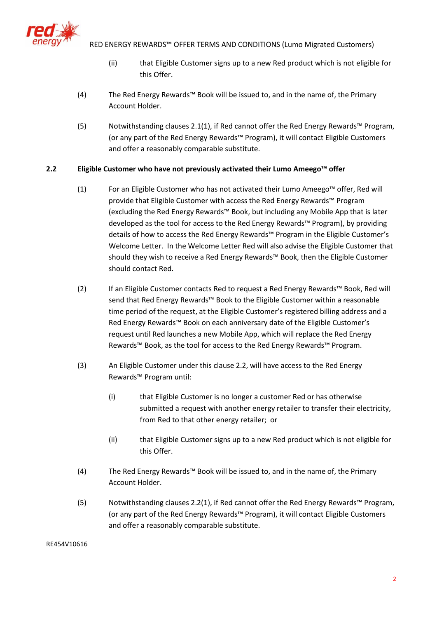

- (ii) that Eligible Customer signs up to a new Red product which is not eligible for this Offer.
- (4) The Red Energy Rewards™ Book will be issued to, and in the name of, the Primary Account Holder.
- (5) Notwithstanding clauses 2.1(1), if Red cannot offer the Red Energy Rewards™ Program, (or any part of the Red Energy Rewards™ Program), it will contact Eligible Customers and offer a reasonably comparable substitute.

# **2.2 Eligible Customer who have not previously activated their Lumo Ameego™ offer**

- (1) For an Eligible Customer who has not activated their Lumo Ameego™ offer, Red will provide that Eligible Customer with access the Red Energy Rewards™ Program (excluding the Red Energy Rewards™ Book, but including any Mobile App that is later developed as the tool for access to the Red Energy Rewards™ Program), by providing details of how to access the Red Energy Rewards™ Program in the Eligible Customer's Welcome Letter. In the Welcome Letter Red will also advise the Eligible Customer that should they wish to receive a Red Energy Rewards™ Book, then the Eligible Customer should contact Red.
- (2) If an Eligible Customer contacts Red to request a Red Energy Rewards™ Book, Red will send that Red Energy Rewards™ Book to the Eligible Customer within a reasonable time period of the request, at the Eligible Customer's registered billing address and a Red Energy Rewards™ Book on each anniversary date of the Eligible Customer's request until Red launches a new Mobile App, which will replace the Red Energy Rewards™ Book, as the tool for access to the Red Energy Rewards™ Program.
- (3) An Eligible Customer under this clause 2.2, will have access to the Red Energy Rewards™ Program until:
	- (i) that Eligible Customer is no longer a customer Red or has otherwise submitted a request with another energy retailer to transfer their electricity, from Red to that other energy retailer; or
	- (ii) that Eligible Customer signs up to a new Red product which is not eligible for this Offer.
- (4) The Red Energy Rewards™ Book will be issued to, and in the name of, the Primary Account Holder.
- (5) Notwithstanding clauses 2.2(1), if Red cannot offer the Red Energy Rewards™ Program, (or any part of the Red Energy Rewards™ Program), it will contact Eligible Customers and offer a reasonably comparable substitute.

RE454V10616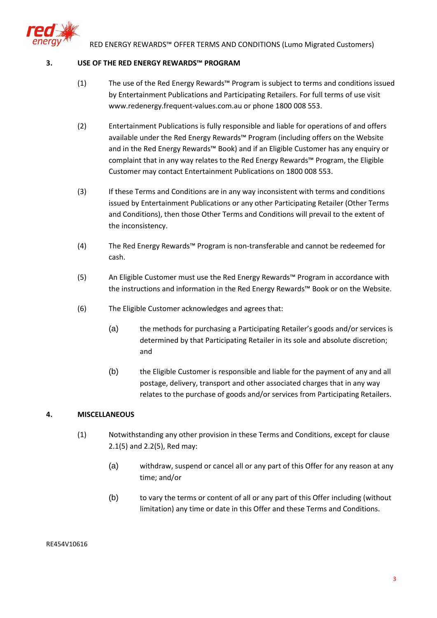

#### **3. USE OF THE RED ENERGY REWARDS™ PROGRAM**

- (1) The use of the Red Energy Rewards™ Program is subject to terms and conditions issued by Entertainment Publications and Participating Retailers. For full terms of use visit www.redenergy.frequent-values.com.au or phone 1800 008 553.
- (2) Entertainment Publications is fully responsible and liable for operations of and offers available under the Red Energy Rewards™ Program (including offers on the Website and in the Red Energy Rewards™ Book) and if an Eligible Customer has any enquiry or complaint that in any way relates to the Red Energy Rewards™ Program, the Eligible Customer may contact Entertainment Publications on 1800 008 553.
- (3) If these Terms and Conditions are in any way inconsistent with terms and conditions issued by Entertainment Publications or any other Participating Retailer (Other Terms and Conditions), then those Other Terms and Conditions will prevail to the extent of the inconsistency.
- (4) The Red Energy Rewards™ Program is non-transferable and cannot be redeemed for cash.
- (5) An Eligible Customer must use the Red Energy Rewards™ Program in accordance with the instructions and information in the Red Energy Rewards™ Book or on the Website.
- (6) The Eligible Customer acknowledges and agrees that:
	- (a) the methods for purchasing a Participating Retailer's goods and/or services is determined by that Participating Retailer in its sole and absolute discretion; and
	- (b) the Eligible Customer is responsible and liable for the payment of any and all postage, delivery, transport and other associated charges that in any way relates to the purchase of goods and/or services from Participating Retailers.

## **4. MISCELLANEOUS**

- (1) Notwithstanding any other provision in these Terms and Conditions, except for clause 2.1(5) and 2.2(5), Red may:
	- (a) withdraw, suspend or cancel all or any part of this Offer for any reason at any time; and/or
	- (b) to vary the terms or content of all or any part of this Offer including (without limitation) any time or date in this Offer and these Terms and Conditions.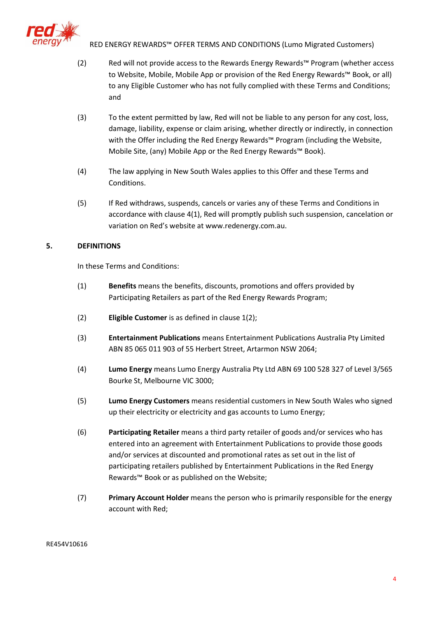

- (2) Red will not provide access to the Rewards Energy Rewards™ Program (whether access to Website, Mobile, Mobile App or provision of the Red Energy Rewards™ Book, or all) to any Eligible Customer who has not fully complied with these Terms and Conditions; and
- (3) To the extent permitted by law, Red will not be liable to any person for any cost, loss, damage, liability, expense or claim arising, whether directly or indirectly, in connection with the Offer including the Red Energy Rewards™ Program (including the Website, Mobile Site, (any) Mobile App or the Red Energy Rewards™ Book).
- (4) The law applying in New South Wales applies to this Offer and these Terms and Conditions.
- (5) If Red withdraws, suspends, cancels or varies any of these Terms and Conditions in accordance with clause 4(1), Red will promptly publish such suspension, cancelation or variation on Red's website at www.redenergy.com.au.

## **5. DEFINITIONS**

In these Terms and Conditions:

- (1) **Benefits** means the benefits, discounts, promotions and offers provided by Participating Retailers as part of the Red Energy Rewards Program;
- (2) **Eligible Customer** is as defined in claus[e 1\(2\);](#page-0-0)
- (3) **Entertainment Publications** means Entertainment Publications Australia Pty Limited ABN 85 065 011 903 of 55 Herbert Street, Artarmon NSW 2064;
- (4) **Lumo Energy** means Lumo Energy Australia Pty Ltd ABN 69 100 528 327 of Level 3/565 Bourke St, Melbourne VIC 3000;
- (5) **Lumo Energy Customers** means residential customers in New South Wales who signed up their electricity or electricity and gas accounts to Lumo Energy;
- (6) **Participating Retailer** means a third party retailer of goods and/or services who has entered into an agreement with Entertainment Publications to provide those goods and/or services at discounted and promotional rates as set out in the list of participating retailers published by Entertainment Publications in the Red Energy Rewards™ Book or as published on the Website;
- (7) **Primary Account Holder** means the person who is primarily responsible for the energy account with Red;

#### RE454V10616